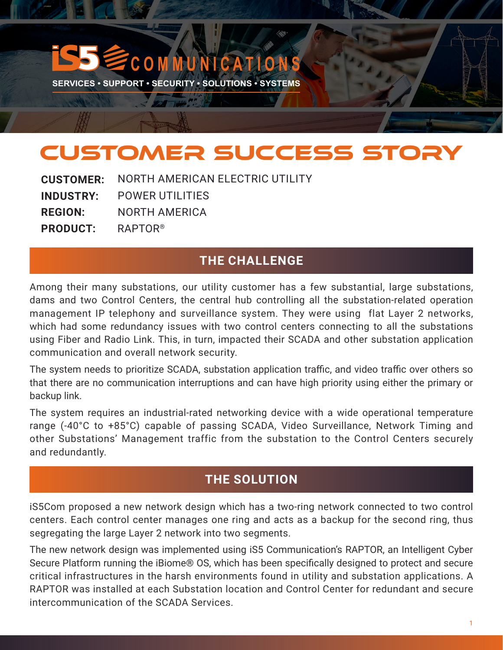# **C M M U N I C A T I O N**

**SERVICES • SUPPORT • SECURITY • SOLUTIONS • SYSTEMS** 

**CA THE MAN** 

# CUSTOMER SUCCESS STORY

NORTH AMERICAN ELECTRIC UTILITY POWER UTILITIES NORTH AMERICA RAPTOR® **CUSTOMER: INDUSTRY: REGION: PRODUCT:**

#### **THE CHALLENGE**

Among their many substations, our utility customer has a few substantial, large substations, dams and two Control Centers, the central hub controlling all the substation-related operation management IP telephony and surveillance system. They were using flat Layer 2 networks, which had some redundancy issues with two control centers connecting to all the substations using Fiber and Radio Link. This, in turn, impacted their SCADA and other substation application communication and overall network security.

The system needs to prioritize SCADA, substation application traffic, and video traffic over others so that there are no communication interruptions and can have high priority using either the primary or backup link.

The system requires an industrial-rated networking device with a wide operational temperature range (-40°C to +85°C) capable of passing SCADA, Video Surveillance, Network Timing and other Substations' Management traffic from the substation to the Control Centers securely and redundantly.

### **THE SOLUTION**

iS5Com proposed a new network design which has a two-ring network connected to two control centers. Each control center manages one ring and acts as a backup for the second ring, thus segregating the large Layer 2 network into two segments.

The new network design was implemented using iS5 Communication's RAPTOR, an Intelligent Cyber Secure Platform running the iBiome® OS, which has been specifically designed to protect and secure critical infrastructures in the harsh environments found in utility and substation applications. A RAPTOR was installed at each Substation location and Control Center for redundant and secure intercommunication of the SCADA Services.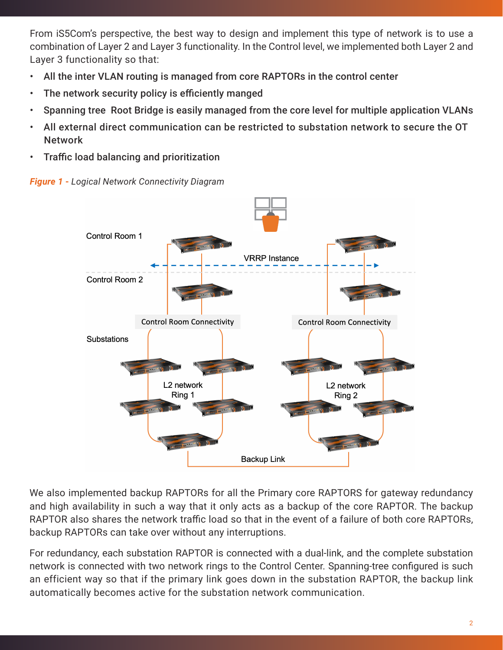From iS5Com's perspective, the best way to design and implement this type of network is to use a combination of Layer 2 and Layer 3 functionality. In the Control level, we implemented both Layer 2 and Layer 3 functionality so that:

- All the inter VLAN routing is managed from core RAPTORs in the control center
- The network security policy is efficiently manged
- Spanning tree Root Bridge is easily managed from the core level for multiple application VLANs
- All external direct communication can be restricted to substation network to secure the OT Network
- Traffic load balancing and prioritization





We also implemented backup RAPTORs for all the Primary core RAPTORS for gateway redundancy and high availability in such a way that it only acts as a backup of the core RAPTOR. The backup RAPTOR also shares the network traffic load so that in the event of a failure of both core RAPTORs, backup RAPTORs can take over without any interruptions.

For redundancy, each substation RAPTOR is connected with a dual-link, and the complete substation network is connected with two network rings to the Control Center. Spanning-tree configured is such an efficient way so that if the primary link goes down in the substation RAPTOR, the backup link automatically becomes active for the substation network communication.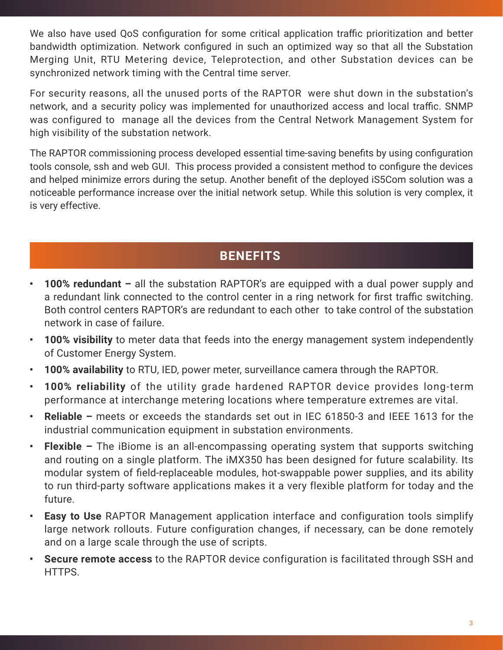We also have used QoS configuration for some critical application traffic prioritization and better bandwidth optimization. Network configured in such an optimized way so that all the Substation Merging Unit, RTU Metering device, Teleprotection, and other Substation devices can be synchronized network timing with the Central time server.

For security reasons, all the unused ports of the RAPTOR were shut down in the substation's network, and a security policy was implemented for unauthorized access and local traffic. SNMP was configured to manage all the devices from the Central Network Management System for high visibility of the substation network.

The RAPTOR commissioning process developed essential time-saving benefits by using configuration tools console, ssh and web GUI. This process provided a consistent method to configure the devices and helped minimize errors during the setup. Another benefit of the deployed iS5Com solution was a noticeable performance increase over the initial network setup. While this solution is very complex, it is very effective.

## **BENEFITS**

- **• 100% redundant –** all the substation RAPTOR's are equipped with a dual power supply and a redundant link connected to the control center in a ring network for first traffic switching. Both control centers RAPTOR's are redundant to each other to take control of the substation network in case of failure.
- **• 100% visibility** to meter data that feeds into the energy management system independently of Customer Energy System.
- **• 100% availability** to RTU, IED, power meter, surveillance camera through the RAPTOR.
- **• 100% reliability** of the utility grade hardened RAPTOR device provides long-term performance at interchange metering locations where temperature extremes are vital.
- **• Reliable –** meets or exceeds the standards set out in IEC 61850-3 and IEEE 1613 for the industrial communication equipment in substation environments.
- **• Flexible –** The iBiome is an all-encompassing operating system that supports switching and routing on a single platform. The iMX350 has been designed for future scalability. Its modular system of field-replaceable modules, hot-swappable power supplies, and its ability to run third-party software applications makes it a very flexible platform for today and the future.
- **• Easy to Use** RAPTOR Management application interface and configuration tools simplify large network rollouts. Future configuration changes, if necessary, can be done remotely and on a large scale through the use of scripts.
- **• Secure remote access** to the RAPTOR device configuration is facilitated through SSH and HTTPS.